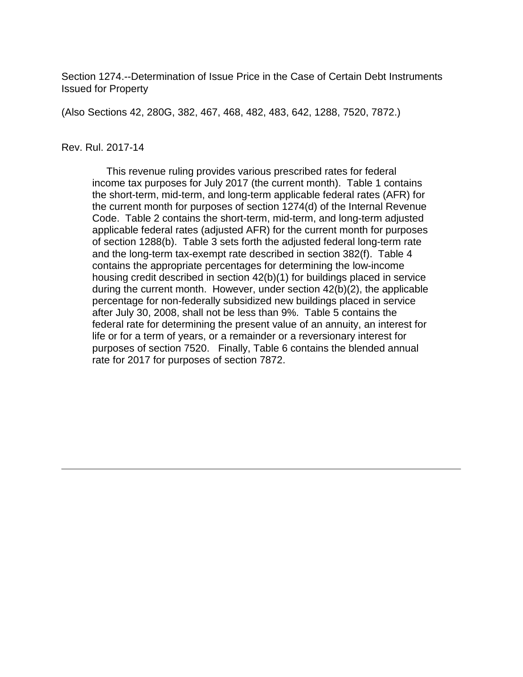Section 1274.--Determination of Issue Price in the Case of Certain Debt Instruments Issued for Property

(Also Sections 42, 280G, 382, 467, 468, 482, 483, 642, 1288, 7520, 7872.)

#### Rev. Rul. 2017-14

 This revenue ruling provides various prescribed rates for federal income tax purposes for July 2017 (the current month). Table 1 contains the short-term, mid-term, and long-term applicable federal rates (AFR) for the current month for purposes of section 1274(d) of the Internal Revenue Code. Table 2 contains the short-term, mid-term, and long-term adjusted applicable federal rates (adjusted AFR) for the current month for purposes of section 1288(b). Table 3 sets forth the adjusted federal long-term rate and the long-term tax-exempt rate described in section 382(f). Table 4 contains the appropriate percentages for determining the low-income housing credit described in section 42(b)(1) for buildings placed in service during the current month. However, under section 42(b)(2), the applicable percentage for non-federally subsidized new buildings placed in service after July 30, 2008, shall not be less than 9%. Table 5 contains the federal rate for determining the present value of an annuity, an interest for life or for a term of years, or a remainder or a reversionary interest for purposes of section 7520. Finally, Table 6 contains the blended annual rate for 2017 for purposes of section 7872.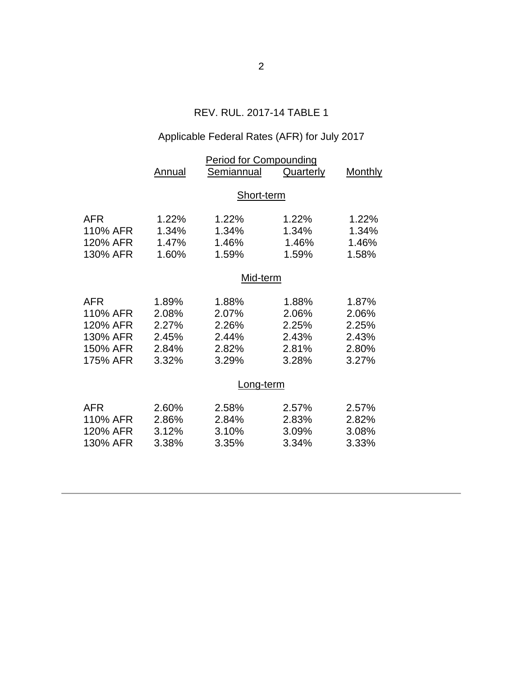# REV. RUL. 2017-14 TABLE 1

# Applicable Federal Rates (AFR) for July 2017

|            | Period for Compounding |            |           |                |  |
|------------|------------------------|------------|-----------|----------------|--|
|            | Annual                 | Semiannual | Quarterly | <b>Monthly</b> |  |
|            |                        |            |           |                |  |
|            | Short-term             |            |           |                |  |
|            |                        |            |           |                |  |
| <b>AFR</b> | 1.22%                  | 1.22%      | 1.22%     | 1.22%          |  |
| 110% AFR   | 1.34%                  | 1.34%      | 1.34%     | 1.34%          |  |
| 120% AFR   | 1.47%                  | 1.46%      | 1.46%     | 1.46%          |  |
| 130% AFR   | 1.60%                  | 1.59%      | 1.59%     | 1.58%          |  |
|            | Mid-term               |            |           |                |  |
|            |                        |            |           |                |  |
| <b>AFR</b> | 1.89%                  | 1.88%      | 1.88%     | 1.87%          |  |
| 110% AFR   | 2.08%                  | 2.07%      | 2.06%     | 2.06%          |  |
| 120% AFR   | 2.27%                  | 2.26%      | 2.25%     | 2.25%          |  |
| 130% AFR   | 2.45%                  | 2.44%      | 2.43%     | 2.43%          |  |
| 150% AFR   | 2.84%                  | 2.82%      | 2.81%     | 2.80%          |  |
| 175% AFR   | 3.32%                  | 3.29%      | 3.28%     | 3.27%          |  |
|            |                        |            |           |                |  |
|            | Long-term              |            |           |                |  |
| <b>AFR</b> | 2.60%                  | 2.58%      | 2.57%     | 2.57%          |  |
| 110% AFR   | 2.86%                  | 2.84%      | 2.83%     | 2.82%          |  |
| 120% AFR   | 3.12%                  | 3.10%      | 3.09%     | 3.08%          |  |
| 130% AFR   | 3.38%                  | 3.35%      | 3.34%     | 3.33%          |  |
|            |                        |            |           |                |  |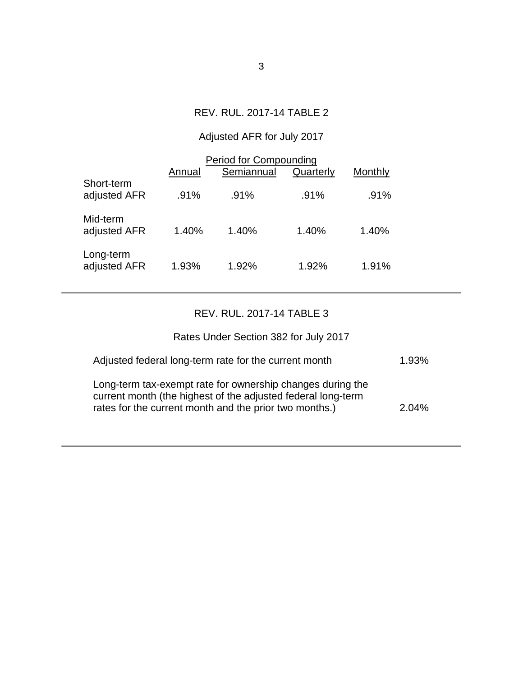### REV. RUL. 2017-14 TABLE 2

# Adjusted AFR for July 2017

|                            | Period for Compounding |            |           |         |  |
|----------------------------|------------------------|------------|-----------|---------|--|
|                            | Annual                 | Semiannual | Quarterly | Monthly |  |
| Short-term<br>adjusted AFR | .91%                   | $.91\%$    | $.91\%$   | $.91\%$ |  |
| Mid-term<br>adjusted AFR   | 1.40%                  | 1.40%      | 1.40%     | 1.40%   |  |
| Long-term<br>adjusted AFR  | 1.93%                  | 1.92%      | 1.92%     | 1.91%   |  |

### REV. RUL. 2017-14 TABLE 3

# Rates Under Section 382 for July 2017

| Adjusted federal long-term rate for the current month                                                                                                                                | 1.93% |
|--------------------------------------------------------------------------------------------------------------------------------------------------------------------------------------|-------|
| Long-term tax-exempt rate for ownership changes during the<br>current month (the highest of the adjusted federal long-term<br>rates for the current month and the prior two months.) | 2.04% |